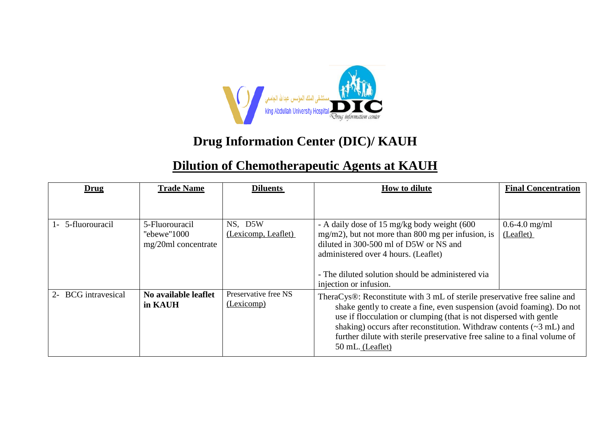

## **Drug Information Center (DIC)/ KAUH**

## **Dilution of Chemotherapeutic Agents at KAUH**

| Drug                | <b>Trade Name</b>                                      | <b>Diluents</b>                    | <b>How to dilute</b>                                                                                                                                                                                                                                                                                                                                                                                                                      | <b>Final Concentration</b>     |
|---------------------|--------------------------------------------------------|------------------------------------|-------------------------------------------------------------------------------------------------------------------------------------------------------------------------------------------------------------------------------------------------------------------------------------------------------------------------------------------------------------------------------------------------------------------------------------------|--------------------------------|
|                     |                                                        |                                    |                                                                                                                                                                                                                                                                                                                                                                                                                                           |                                |
| 1- 5-fluorouracil   | 5-Fluorouracil<br>"ebewe"1000<br>$mg/20ml$ concentrate | NS, D5W<br>(Lexicomp, Leaflet)     | - A daily dose of 15 mg/kg body weight (600<br>mg/m2), but not more than 800 mg per infusion, is<br>diluted in 300-500 ml of D5W or NS and<br>administered over 4 hours. (Leaflet)<br>- The diluted solution should be administered via                                                                                                                                                                                                   | $0.6 - 4.0$ mg/ml<br>(Leaflet) |
| 2- BCG intravesical | No available leaflet<br>in KAUH                        | Preservative free NS<br>(Lexicomp) | injection or infusion.<br>TheraCys®: Reconstitute with 3 mL of sterile preservative free saline and<br>shake gently to create a fine, even suspension (avoid foaming). Do not<br>use if flocculation or clumping (that is not dispersed with gentle<br>shaking) occurs after reconstitution. Withdraw contents $(\sim 3 \text{ mL})$ and<br>further dilute with sterile preservative free saline to a final volume of<br>50 mL. (Leaflet) |                                |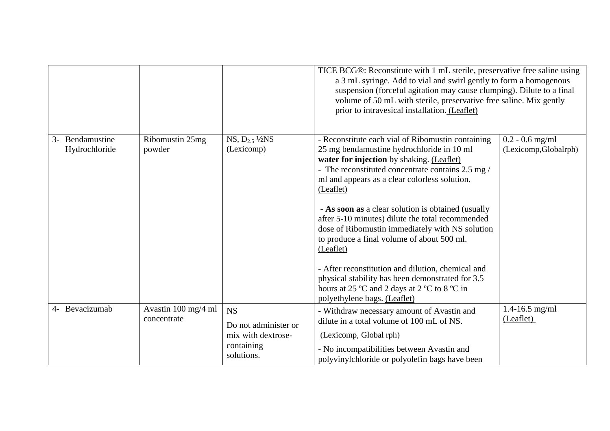|                                  |                                    |                                                                                     | TICE BCG®: Reconstitute with 1 mL sterile, preservative free saline using<br>a 3 mL syringe. Add to vial and swirl gently to form a homogenous<br>suspension (forceful agitation may cause clumping). Dilute to a final<br>volume of 50 mL with sterile, preservative free saline. Mix gently<br>prior to intravesical installation. (Leaflet)                                                                                                                                                                                                                                                                                                                                  |                                            |
|----------------------------------|------------------------------------|-------------------------------------------------------------------------------------|---------------------------------------------------------------------------------------------------------------------------------------------------------------------------------------------------------------------------------------------------------------------------------------------------------------------------------------------------------------------------------------------------------------------------------------------------------------------------------------------------------------------------------------------------------------------------------------------------------------------------------------------------------------------------------|--------------------------------------------|
| 3- Bendamustine<br>Hydrochloride | Ribomustin 25mg<br>powder          | $NS, D_{2.5}$ $\frac{1}{2}NS$<br>(Lexicomp)                                         | - Reconstitute each vial of Ribomustin containing<br>25 mg bendamustine hydrochloride in 10 ml<br>water for injection by shaking. (Leaflet)<br>- The reconstituted concentrate contains 2.5 mg /<br>ml and appears as a clear colorless solution.<br>(Leaflet)<br>- As soon as a clear solution is obtained (usually<br>after 5-10 minutes) dilute the total recommended<br>dose of Ribomustin immediately with NS solution<br>to produce a final volume of about 500 ml.<br>(Leaflet)<br>- After reconstitution and dilution, chemical and<br>physical stability has been demonstrated for 3.5<br>hours at 25 °C and 2 days at 2 °C to 8 °C in<br>polyethylene bags. (Leaflet) | $0.2 - 0.6$ mg/ml<br>(Lexicomp, Globalrph) |
| 4- Bevacizumab                   | Avastin 100 mg/4 ml<br>concentrate | <b>NS</b><br>Do not administer or<br>mix with dextrose-<br>containing<br>solutions. | - Withdraw necessary amount of Avastin and<br>dilute in a total volume of 100 mL of NS.<br>(Lexicomp, Global rph)<br>- No incompatibilities between Avastin and<br>polyvinylchloride or polyolefin bags have been                                                                                                                                                                                                                                                                                                                                                                                                                                                               | $1.4 - 16.5$ mg/ml<br>(Leaflet)            |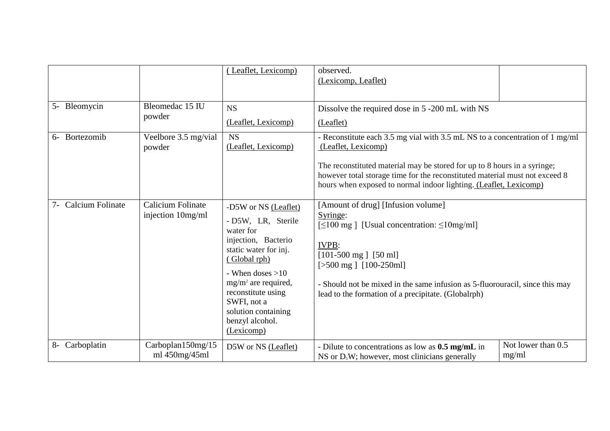|                  |                                        | (Leaflet, Lexicomp)                                                                                                                                                                                                                                                  | observed.<br>(Lexicomp, Leaflet)                                                                                                                                                                                                                                                                                                                        |                             |
|------------------|----------------------------------------|----------------------------------------------------------------------------------------------------------------------------------------------------------------------------------------------------------------------------------------------------------------------|---------------------------------------------------------------------------------------------------------------------------------------------------------------------------------------------------------------------------------------------------------------------------------------------------------------------------------------------------------|-----------------------------|
| 5- Bleomycin     | Bleomedac 15 IU<br>powder              | <b>NS</b><br>(Leaflet, Lexicomp)                                                                                                                                                                                                                                     | Dissolve the required dose in 5 -200 mL with NS<br>(Leaflet)                                                                                                                                                                                                                                                                                            |                             |
| Bortezomib<br>6- | Veelbore 3.5 mg/vial<br>powder         | <b>NS</b><br>(Leaflet, Lexicomp)                                                                                                                                                                                                                                     | - Reconstitute each 3.5 mg vial with 3.5 mL NS to a concentration of 1 mg/ml<br>(Leaflet, Lexicomp)<br>The reconstituted material may be stored for up to 8 hours in a syringe;<br>however total storage time for the reconstituted material must not exceed 8<br>hours when exposed to normal indoor lighting. (Leaflet, Lexicomp)                     |                             |
| Calcium Folinate | Calicium Folinate<br>injection 10mg/ml | -D5W or NS (Leaflet)<br>- D5W, LR, Sterile<br>water for<br>injection, Bacterio<br>static water for inj.<br>(Global rph)<br>- When doses $>10$<br>$mg/m^2$ are required,<br>reconstitute using<br>SWFI, not a<br>solution containing<br>benzyl alcohol.<br>(Lexicomp) | [Amount of drug] [Infusion volume]<br>Syringe:<br>$\lceil 500 \text{ mg} \rceil$ [Usual concentration: $\leq 10 \text{ mg/ml}$ ]<br><b>IVPB:</b><br>$[101-500$ mg $]$ $[50$ ml]<br>$[>500$ mg $]$ $[100-250$ ml]<br>- Should not be mixed in the same infusion as 5-fluorouracil, since this may<br>lead to the formation of a precipitate. (Globalrph) |                             |
| 8- Carboplatin   | Carboplan150mg/15<br>ml 450mg/45ml     | D5W or NS (Leaflet)                                                                                                                                                                                                                                                  | - Dilute to concentrations as low as $0.5 \text{ mg/mL}$ in<br>NS or $DsW$ ; however, most clinicians generally                                                                                                                                                                                                                                         | Not lower than 0.5<br>mg/ml |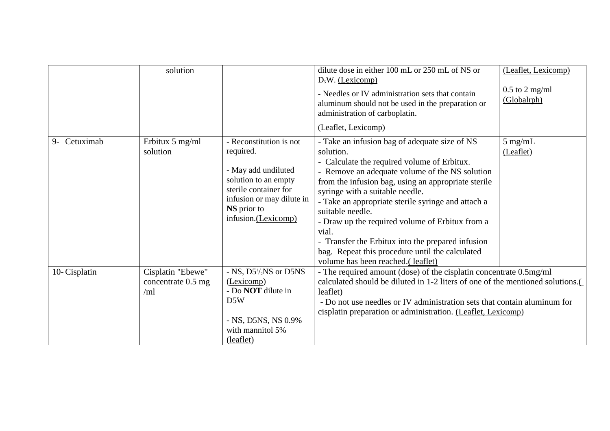|              | solution                                       |                                                                                                                                                                                 | dilute dose in either 100 mL or 250 mL of NS or<br>$D5W.$ (Lexicomp)                                                                                                                                                                                                                                                                                                                                                                                                                                                                     | (Leaflet, Lexicomp)             |
|--------------|------------------------------------------------|---------------------------------------------------------------------------------------------------------------------------------------------------------------------------------|------------------------------------------------------------------------------------------------------------------------------------------------------------------------------------------------------------------------------------------------------------------------------------------------------------------------------------------------------------------------------------------------------------------------------------------------------------------------------------------------------------------------------------------|---------------------------------|
|              |                                                |                                                                                                                                                                                 | - Needles or IV administration sets that contain<br>aluminum should not be used in the preparation or<br>administration of carboplatin.                                                                                                                                                                                                                                                                                                                                                                                                  | $0.5$ to 2 mg/ml<br>(Globalrph) |
|              |                                                |                                                                                                                                                                                 | (Leaflet, Lexicomp)                                                                                                                                                                                                                                                                                                                                                                                                                                                                                                                      |                                 |
| 9- Cetuximab | Erbitux 5 mg/ml<br>solution                    | - Reconstitution is not<br>required.<br>- May add undiluted<br>solution to an empty<br>sterile container for<br>infusion or may dilute in<br>NS prior to<br>infusion.(Lexicomp) | - Take an infusion bag of adequate size of NS<br>solution.<br>- Calculate the required volume of Erbitux.<br>- Remove an adequate volume of the NS solution<br>from the infusion bag, using an appropriate sterile<br>syringe with a suitable needle.<br>- Take an appropriate sterile syringe and attach a<br>suitable needle.<br>- Draw up the required volume of Erbitux from a<br>vial.<br>- Transfer the Erbitux into the prepared infusion<br>bag. Repeat this procedure until the calculated<br>volume has been reached.(leaflet) | $5$ mg/mL<br>(Leaflet)          |
| 10-Cisplatin | Cisplatin "Ebewe"<br>concentrate 0.5 mg<br>/ml | - NS, $D5^{1}/_{2}NS$ or D5NS<br>(Lexicomp)<br>- Do <b>NOT</b> dilute in<br>D5W<br>- NS, D5NS, NS 0.9%<br>with mannitol 5%<br>(leaflet)                                         | - The required amount (dose) of the cisplatin concentrate 0.5mg/ml<br>calculated should be diluted in 1-2 liters of one of the mentioned solutions.<br>leaflet)<br>- Do not use needles or IV administration sets that contain aluminum for<br>cisplatin preparation or administration. (Leaflet, Lexicomp)                                                                                                                                                                                                                              |                                 |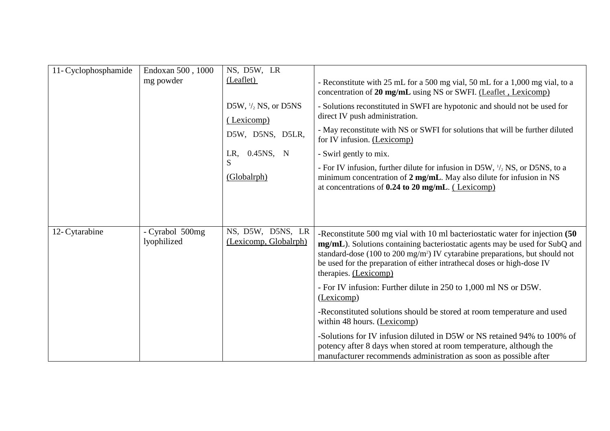| 11- Cyclophosphamide | Endoxan 500, 1000<br>mg powder | NS, D5W, LR<br>(Leaflet)<br>D5W, $\frac{1}{2}$ NS, or D5NS<br>(Lexicomp)<br>D5W, D5NS, D5LR,<br>LR, 0.45NS, N<br>S<br>(Globalrph) | - Reconstitute with 25 mL for a 500 mg vial, 50 mL for a 1,000 mg vial, to a<br>concentration of 20 mg/mL using NS or SWFI. (Leaflet, Lexicomp)<br>- Solutions reconstituted in SWFI are hypotonic and should not be used for<br>direct IV push administration.<br>- May reconstitute with NS or SWFI for solutions that will be further diluted<br>for IV infusion. (Lexicomp)<br>- Swirl gently to mix.<br>- For IV infusion, further dilute for infusion in D5W, $\frac{1}{2}$ NS, or D5NS, to a<br>minimum concentration of 2 mg/mL. May also dilute for infusion in NS<br>at concentrations of $0.24$ to $20$ mg/mL. (Lexicomp) |
|----------------------|--------------------------------|-----------------------------------------------------------------------------------------------------------------------------------|--------------------------------------------------------------------------------------------------------------------------------------------------------------------------------------------------------------------------------------------------------------------------------------------------------------------------------------------------------------------------------------------------------------------------------------------------------------------------------------------------------------------------------------------------------------------------------------------------------------------------------------|
|                      |                                |                                                                                                                                   |                                                                                                                                                                                                                                                                                                                                                                                                                                                                                                                                                                                                                                      |
| 12- Cytarabine       | - Cyrabol 500mg<br>lyophilized | NS, D5W, D5NS, LR<br>(Lexicomp, Globalrph)                                                                                        | -Reconstitute 500 mg vial with 10 ml bacteriostatic water for injection (50)<br>mg/mL). Solutions containing bacteriostatic agents may be used for SubQ and<br>standard-dose (100 to 200 mg/m <sup>2</sup> ) IV cytarabine preparations, but should not<br>be used for the preparation of either intrathecal doses or high-dose IV<br>therapies. (Lexicomp)                                                                                                                                                                                                                                                                          |
|                      |                                |                                                                                                                                   | - For IV infusion: Further dilute in 250 to 1,000 ml NS or D5W.<br>(Lexicomp)                                                                                                                                                                                                                                                                                                                                                                                                                                                                                                                                                        |
|                      |                                |                                                                                                                                   | -Reconstituted solutions should be stored at room temperature and used<br>within 48 hours. (Lexicomp)                                                                                                                                                                                                                                                                                                                                                                                                                                                                                                                                |
|                      |                                |                                                                                                                                   | -Solutions for IV infusion diluted in D5W or NS retained 94% to 100% of<br>potency after 8 days when stored at room temperature, although the<br>manufacturer recommends administration as soon as possible after                                                                                                                                                                                                                                                                                                                                                                                                                    |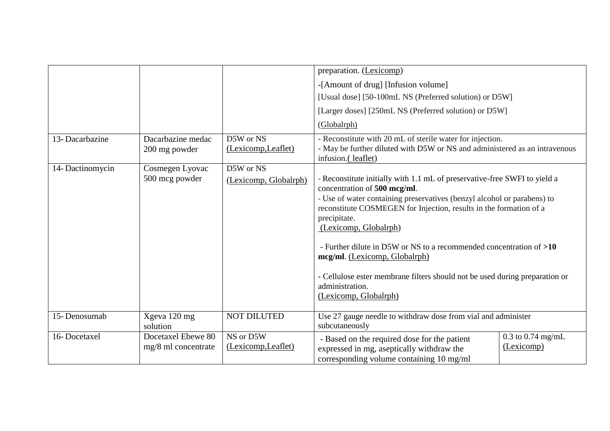|                 |                                           |                                  | preparation. (Lexicomp)                                                                                                                                                                                                                                                                                                                                                                                                                                                                                                                |                                   |
|-----------------|-------------------------------------------|----------------------------------|----------------------------------------------------------------------------------------------------------------------------------------------------------------------------------------------------------------------------------------------------------------------------------------------------------------------------------------------------------------------------------------------------------------------------------------------------------------------------------------------------------------------------------------|-----------------------------------|
|                 |                                           |                                  | -[Amount of drug] [Infusion volume]                                                                                                                                                                                                                                                                                                                                                                                                                                                                                                    |                                   |
|                 |                                           |                                  | [Usual dose] [50-100mL NS (Preferred solution) or D5W]                                                                                                                                                                                                                                                                                                                                                                                                                                                                                 |                                   |
|                 |                                           |                                  | [Larger doses] [250mL NS (Preferred solution) or D5W]                                                                                                                                                                                                                                                                                                                                                                                                                                                                                  |                                   |
|                 |                                           |                                  | (Globalrph)                                                                                                                                                                                                                                                                                                                                                                                                                                                                                                                            |                                   |
| 13-Dacarbazine  | Dacarbazine medac<br>200 mg powder        | D5W or NS<br>(Lexicomp, Leaflet) | - Reconstitute with 20 mL of sterile water for injection.<br>- May be further diluted with D5W or NS and administered as an intravenous<br>infusion.(leaflet)                                                                                                                                                                                                                                                                                                                                                                          |                                   |
| 14-Dactinomycin | Cosmegen Lyovac                           | D5W or NS                        |                                                                                                                                                                                                                                                                                                                                                                                                                                                                                                                                        |                                   |
|                 | 500 mcg powder                            | (Lexicomp, Globalrph)            | - Reconstitute initially with 1.1 mL of preservative-free SWFI to yield a<br>concentration of 500 mcg/ml.<br>- Use of water containing preservatives (benzyl alcohol or parabens) to<br>reconstitute COSMEGEN for Injection, results in the formation of a<br>precipitate.<br>(Lexicomp, Globalrph)<br>- Further dilute in D5W or NS to a recommended concentration of >10<br>mcg/ml. (Lexicomp, Globalrph)<br>- Cellulose ester membrane filters should not be used during preparation or<br>administration.<br>(Lexicomp, Globalrph) |                                   |
| 15-Denosumab    | Xgeva 120 mg<br>solution                  | <b>NOT DILUTED</b>               | Use 27 gauge needle to withdraw dose from vial and administer<br>subcutaneously                                                                                                                                                                                                                                                                                                                                                                                                                                                        |                                   |
| 16-Docetaxel    | Docetaxel Ebewe 80<br>mg/8 ml concentrate | NS or D5W<br>(Lexicomp, Leaflet) | - Based on the required dose for the patient<br>expressed in mg, aseptically withdraw the<br>corresponding volume containing 10 mg/ml                                                                                                                                                                                                                                                                                                                                                                                                  | $0.3$ to 0.74 mg/mL<br>(Lexicomp) |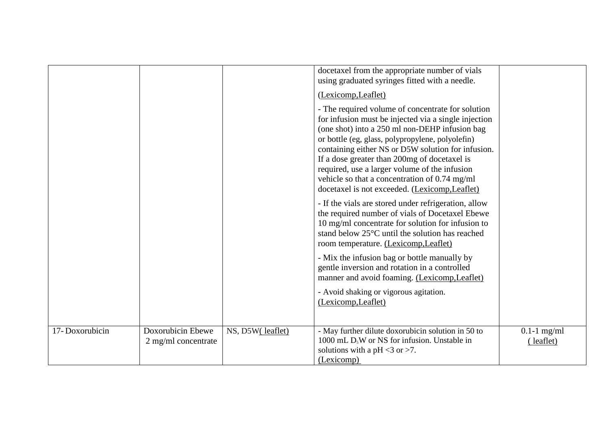|                |                                            |                  | docetaxel from the appropriate number of vials<br>using graduated syringes fitted with a needle.                                                                                                                                                                                                                                                                                                                                                                          |                            |
|----------------|--------------------------------------------|------------------|---------------------------------------------------------------------------------------------------------------------------------------------------------------------------------------------------------------------------------------------------------------------------------------------------------------------------------------------------------------------------------------------------------------------------------------------------------------------------|----------------------------|
|                |                                            |                  | (Lexicomp, Leaflet)                                                                                                                                                                                                                                                                                                                                                                                                                                                       |                            |
|                |                                            |                  | - The required volume of concentrate for solution<br>for infusion must be injected via a single injection<br>(one shot) into a 250 ml non-DEHP infusion bag<br>or bottle (eg, glass, polypropylene, polyolefin)<br>containing either NS or D5W solution for infusion.<br>If a dose greater than 200mg of docetaxel is<br>required, use a larger volume of the infusion<br>vehicle so that a concentration of 0.74 mg/ml<br>docetaxel is not exceeded. (Lexicomp, Leaflet) |                            |
|                |                                            |                  | - If the vials are stored under refrigeration, allow<br>the required number of vials of Docetaxel Ebewe<br>10 mg/ml concentrate for solution for infusion to<br>stand below $25^{\circ}$ C until the solution has reached<br>room temperature. (Lexicomp, Leaflet)                                                                                                                                                                                                        |                            |
|                |                                            |                  | - Mix the infusion bag or bottle manually by<br>gentle inversion and rotation in a controlled<br>manner and avoid foaming. (Lexicomp, Leaflet)                                                                                                                                                                                                                                                                                                                            |                            |
|                |                                            |                  | - Avoid shaking or vigorous agitation.<br>(Lexicomp, Leaflet)                                                                                                                                                                                                                                                                                                                                                                                                             |                            |
| 17-Doxorubicin | Doxorubicin Ebewe<br>$2$ mg/ml concentrate | NS, D5W(leaflet) | - May further dilute doxorubicin solution in 50 to<br>1000 mL $D5W$ or NS for infusion. Unstable in<br>solutions with a pH $<$ 3 or $>$ 7.<br>(Lexicomp)                                                                                                                                                                                                                                                                                                                  | $0.1-1$ mg/ml<br>(leaflet) |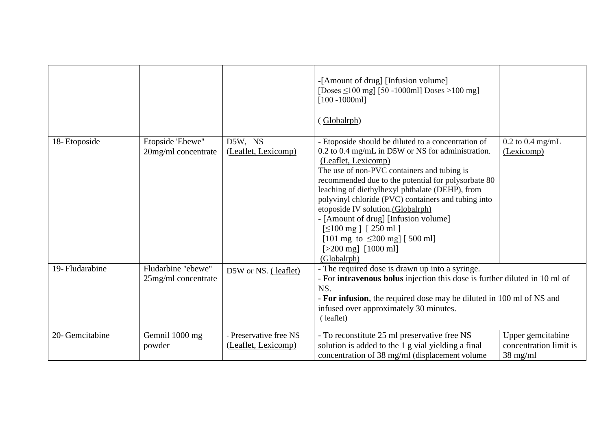|                 |                                           |                                               | -[Amount of drug] [Infusion volume]<br>[Doses $\leq$ 100 mg] [50 -1000ml] Doses >100 mg]<br>$[100 - 1000ml]$<br>Globalrph)                                                                                                                                                                                                                                                                                                                                                                                                                                |                                                                   |
|-----------------|-------------------------------------------|-----------------------------------------------|-----------------------------------------------------------------------------------------------------------------------------------------------------------------------------------------------------------------------------------------------------------------------------------------------------------------------------------------------------------------------------------------------------------------------------------------------------------------------------------------------------------------------------------------------------------|-------------------------------------------------------------------|
| 18-Etoposide    | Etopside 'Ebewe"<br>20mg/ml concentrate   | D5W, NS<br>(Leaflet, Lexicomp)                | - Etoposide should be diluted to a concentration of<br>0.2 to 0.4 mg/mL in D5W or NS for administration.<br>(Leaflet, Lexicomp)<br>The use of non-PVC containers and tubing is<br>recommended due to the potential for polysorbate 80<br>leaching of diethylhexyl phthalate (DEHP), from<br>polyvinyl chloride (PVC) containers and tubing into<br>etoposide IV solution.(Globalrph)<br>- [Amount of drug] [Infusion volume]<br>$\lceil 500 \text{ mg} \rceil$ [ 250 ml ]<br>[101 mg to $\leq$ 200 mg] [500 ml]<br>$[>200$ mg] $[1000$ ml]<br>(Globalrph) | $0.2$ to $0.4$ mg/mL<br>(Lexicomp)                                |
| 19- Fludarabine | Fludarbine "ebewe"<br>25mg/ml concentrate | D5W or NS. (leaflet)                          | - The required dose is drawn up into a syringe.<br>- For intravenous bolus injection this dose is further diluted in 10 ml of<br>NS.<br>- For infusion, the required dose may be diluted in 100 ml of NS and<br>infused over approximately 30 minutes.<br>(leaflet)                                                                                                                                                                                                                                                                                       |                                                                   |
| 20- Gemcitabine | Gemnil 1000 mg<br>powder                  | - Preservative free NS<br>(Leaflet, Lexicomp) | - To reconstitute 25 ml preservative free NS<br>solution is added to the 1 g vial yielding a final<br>concentration of 38 mg/ml (displacement volume                                                                                                                                                                                                                                                                                                                                                                                                      | Upper gemcitabine<br>concentration limit is<br>$38 \text{ mg/ml}$ |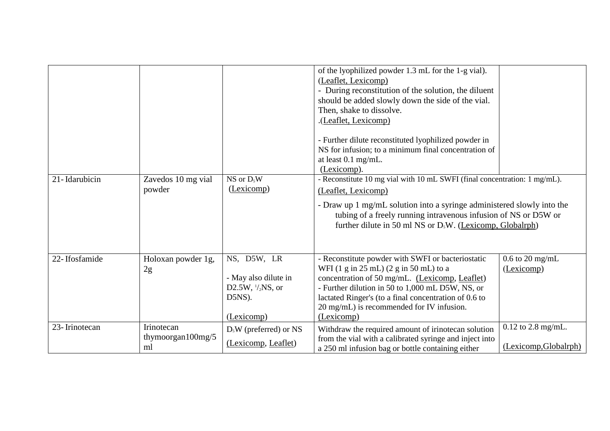| 21-Idarubicin | Zavedos 10 mg vial                        | $NS$ or $D_5W$                                                                             | of the lyophilized powder 1.3 mL for the 1-g vial).<br>(Leaflet, Lexicomp)<br>- During reconstitution of the solution, the diluent<br>should be added slowly down the side of the vial.<br>Then, shake to dissolve.<br>.(Leaflet, Lexicomp)<br>- Further dilute reconstituted lyophilized powder in<br>NS for infusion; to a minimum final concentration of<br>at least 0.1 mg/mL.<br>(Lexicomp).<br>- Reconstitute 10 mg vial with 10 mL SWFI (final concentration: 1 mg/mL). |                                                 |
|---------------|-------------------------------------------|--------------------------------------------------------------------------------------------|--------------------------------------------------------------------------------------------------------------------------------------------------------------------------------------------------------------------------------------------------------------------------------------------------------------------------------------------------------------------------------------------------------------------------------------------------------------------------------|-------------------------------------------------|
|               | powder                                    | (Lexicomp)                                                                                 | (Leaflet, Lexicomp)<br>- Draw up 1 mg/mL solution into a syringe administered slowly into the<br>tubing of a freely running intravenous infusion of NS or D5W or<br>further dilute in 50 ml NS or $DsW$ . (Lexicomp, Globalrph)                                                                                                                                                                                                                                                |                                                 |
| 22-Ifosfamide | Holoxan powder 1g,<br>2g                  | NS, D5W, LR<br>- May also dilute in<br>D2.5W, $\frac{1}{2}$ NS, or<br>D5NS).<br>(Lexicomp) | - Reconstitute powder with SWFI or bacteriostatic<br>WFI (1 g in 25 mL) (2 g in 50 mL) to a<br>concentration of 50 mg/mL. (Lexicomp, Leaflet)<br>- Further dilution in 50 to 1,000 mL D5W, NS, or<br>lactated Ringer's (to a final concentration of 0.6 to<br>20 mg/mL) is recommended for IV infusion.<br>(Lexicomp)                                                                                                                                                          | $0.6$ to 20 mg/mL<br>(Lexicomp)                 |
| 23-Irinotecan | Irinotecan<br>thymoorgan $100$ mg/5<br>ml | $DsW$ (preferred) or NS<br>(Lexicomp, Leaflet)                                             | Withdraw the required amount of irinotecan solution<br>from the vial with a calibrated syringe and inject into<br>a 250 ml infusion bag or bottle containing either                                                                                                                                                                                                                                                                                                            | $0.12$ to $2.8$ mg/mL.<br>(Lexicomp, Globalrph) |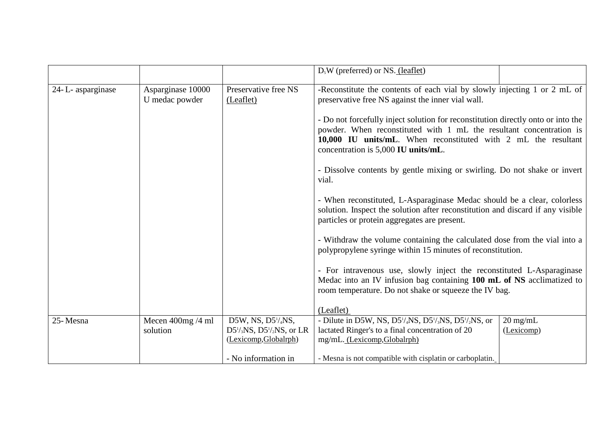|                  |                                     |                                                                                                  | $DsW$ (preferred) or NS. (leaflet)                                                                                                                                                                                                                                                                                                                                                                                                                                                     |
|------------------|-------------------------------------|--------------------------------------------------------------------------------------------------|----------------------------------------------------------------------------------------------------------------------------------------------------------------------------------------------------------------------------------------------------------------------------------------------------------------------------------------------------------------------------------------------------------------------------------------------------------------------------------------|
| 24-L-asparginase | Asparginase 10000<br>U medac powder | Preservative free NS<br>(Leaflet)                                                                | -Reconstitute the contents of each vial by slowly injecting 1 or 2 mL of<br>preservative free NS against the inner vial wall.<br>- Do not forcefully inject solution for reconstitution directly onto or into the<br>powder. When reconstituted with 1 mL the resultant concentration is<br>10,000 IU units/mL. When reconstituted with 2 mL the resultant<br>concentration is 5,000 IU units/mL.<br>- Dissolve contents by gentle mixing or swirling. Do not shake or invert<br>vial. |
|                  |                                     |                                                                                                  | - When reconstituted, L-Asparaginase Medac should be a clear, colorless<br>solution. Inspect the solution after reconstitution and discard if any visible<br>particles or protein aggregates are present.                                                                                                                                                                                                                                                                              |
|                  |                                     |                                                                                                  | - Withdraw the volume containing the calculated dose from the vial into a<br>polypropylene syringe within 15 minutes of reconstitution.                                                                                                                                                                                                                                                                                                                                                |
|                  |                                     |                                                                                                  | - For intravenous use, slowly inject the reconstituted L-Asparaginase<br>Medac into an IV infusion bag containing 100 mL of NS acclimatized to<br>room temperature. Do not shake or squeeze the IV bag.                                                                                                                                                                                                                                                                                |
|                  |                                     |                                                                                                  | (Leaflet)                                                                                                                                                                                                                                                                                                                                                                                                                                                                              |
| 25-Mesna         | Mecen $400mg/4$ ml<br>solution      | D5W, NS, $D5^{1}/_{4}NS$ ,<br>$D5^{1}/_{3}NS$ , $D5^{1}/_{2}NS$ , or LR<br>(Lexicomp, Globalrph) | $20 \text{ mg/mL}$<br>- Dilute in D5W, NS, D5 <sup>1</sup> / <sub>4</sub> NS, D5 <sup>1</sup> / <sub>3</sub> NS, D5 <sup>1</sup> / <sub>2</sub> NS, or<br>lactated Ringer's to a final concentration of 20<br>(Lexicomp)<br>mg/mL. (Lexicomp, Globalrph)                                                                                                                                                                                                                               |
|                  |                                     | - No information in                                                                              | - Mesna is not compatible with cisplatin or carboplatin.                                                                                                                                                                                                                                                                                                                                                                                                                               |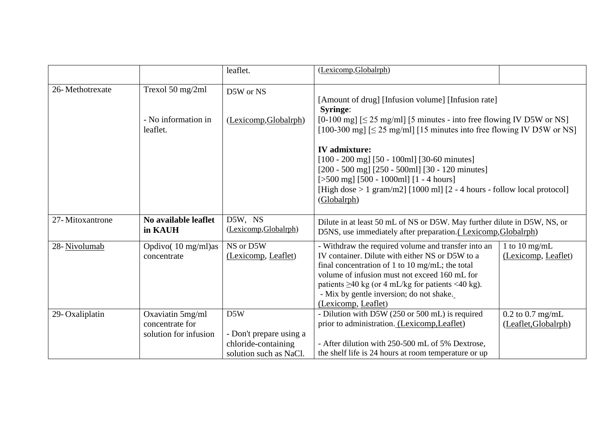|                 |                                                              | leaflet.                                                                        | (Lexicomp, Globalrph)                                                                                                                                                                                                                                                                                                                    |                                              |
|-----------------|--------------------------------------------------------------|---------------------------------------------------------------------------------|------------------------------------------------------------------------------------------------------------------------------------------------------------------------------------------------------------------------------------------------------------------------------------------------------------------------------------------|----------------------------------------------|
| 26-Methotrexate | Trexol 50 mg/2ml                                             | D5W or NS                                                                       |                                                                                                                                                                                                                                                                                                                                          |                                              |
|                 | - No information in<br>leaflet.                              | (Lexicomp, Globalrph)                                                           | [Amount of drug] [Infusion volume] [Infusion rate]<br><b>Syringe:</b><br>$[0-100 \text{ mg}]$ [ $\leq$ 25 mg/ml] [5 minutes - into free flowing IV D5W or NS]<br>$[100-300 \text{ mg}] \le 25 \text{ mg/ml}$ [15 minutes into free flowing IV D5W or NS]                                                                                 |                                              |
|                 |                                                              |                                                                                 | <b>IV</b> admixture:<br>$[100 - 200$ mg] $[50 - 100$ ml] $[30 - 60$ minutes]<br>$[200 - 500$ mg] $[250 - 500$ ml] $[30 - 120$ minutes]<br>[ $>500$ mg] [ $500 - 1000$ ml] [1 - 4 hours]<br>[High dose $> 1$ gram/m2] [1000 ml] [2 - 4 hours - follow local protocol]<br>(Globalrph)                                                      |                                              |
| 27-Mitoxantrone | No available leaflet<br>in KAUH                              | D5W, NS<br>(Lexicomp, Globalrph)                                                | Dilute in at least 50 mL of NS or D5W. May further dilute in D5W, NS, or<br>D5NS, use immediately after preparation. (Lexicomp, Globalrph)                                                                                                                                                                                               |                                              |
| 28-Nivolumab    | Opdivo(10 mg/ml)as<br>concentrate                            | $\overline{\text{NS}}$ or D5W<br>(Lexicomp, Leaflet)                            | - Withdraw the required volume and transfer into an<br>IV container. Dilute with either NS or D5W to a<br>final concentration of 1 to 10 mg/mL; the total<br>volume of infusion must not exceed 160 mL for<br>patients $\geq$ 40 kg (or 4 mL/kg for patients <40 kg).<br>- Mix by gentle inversion; do not shake.<br>(Lexicomp, Leaflet) | 1 to 10 mg/mL<br>(Lexicomp, Leaflet)         |
| 29-Oxaliplatin  | Oxaviatin 5mg/ml<br>concentrate for<br>solution for infusion | D5W<br>- Don't prepare using a<br>chloride-containing<br>solution such as NaCl. | - Dilution with D5W (250 or 500 mL) is required<br>prior to administration. (Lexicomp, Leaflet)<br>- After dilution with 250-500 mL of 5% Dextrose,<br>the shelf life is 24 hours at room temperature or up                                                                                                                              | $0.2$ to $0.7$ mg/mL<br>(Leaflet, Globalrph) |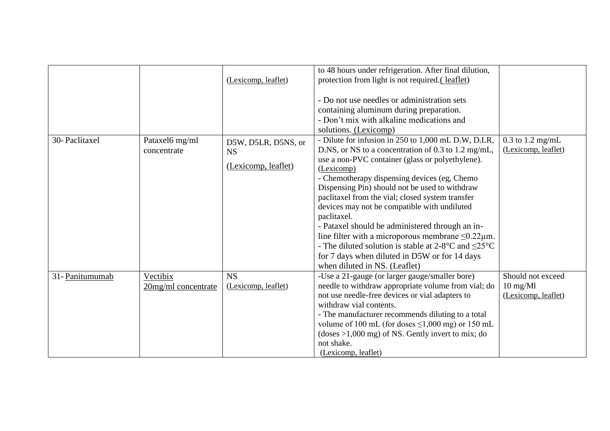|                 |                                 | (Lexicomp, leaflet)                                     | to 48 hours under refrigeration. After final dilution,<br>protection from light is not required. (leaflet)<br>- Do not use needles or administration sets<br>containing aluminum during preparation.<br>- Don't mix with alkaline medications and                                                                                                                                                                                                                                                                                                                                                                                                                                                       |                                                                    |
|-----------------|---------------------------------|---------------------------------------------------------|---------------------------------------------------------------------------------------------------------------------------------------------------------------------------------------------------------------------------------------------------------------------------------------------------------------------------------------------------------------------------------------------------------------------------------------------------------------------------------------------------------------------------------------------------------------------------------------------------------------------------------------------------------------------------------------------------------|--------------------------------------------------------------------|
| 30-Paclitaxel   | Pataxel6 mg/ml<br>concentrate   | D5W, D5LR, D5NS, or<br><b>NS</b><br>(Lexicomp, leaflet) | solutions. (Lexicomp)<br>- Dilute for infusion in 250 to 1,000 mL $D_5W$ , $D_5LR$ ,<br>$D5NS$ , or NS to a concentration of 0.3 to 1.2 mg/mL,<br>use a non-PVC container (glass or polyethylene).<br>(Lexicomp)<br>- Chemotherapy dispensing devices (eg, Chemo<br>Dispensing Pin) should not be used to withdraw<br>paclitaxel from the vial; closed system transfer<br>devices may not be compatible with undiluted<br>paclitaxel.<br>- Pataxel should be administered through an in-<br>line filter with a microporous membrane $\leq 0.22 \mu$ m.<br>- The diluted solution is stable at 2-8 °C and $\leq$ 25 °C<br>for 7 days when diluted in D5W or for 14 days<br>when diluted in NS. (Leaflet) | $0.3$ to 1.2 mg/mL<br>(Lexicomp, leaflet)                          |
| 31- Panitumumab | Vectibix<br>20mg/ml concentrate | <b>NS</b><br>(Lexicomp, leaflet)                        | -Use a 21-gauge (or larger gauge/smaller bore)<br>needle to withdraw appropriate volume from vial; do<br>not use needle-free devices or vial adapters to<br>withdraw vial contents.<br>- The manufacturer recommends diluting to a total<br>volume of 100 mL (for doses $\leq$ 1,000 mg) or 150 mL<br>$(doses > 1,000 mg)$ of NS. Gently invert to mix; do<br>not shake.<br>(Lexicomp, leaflet)                                                                                                                                                                                                                                                                                                         | Should not exceed<br>$10 \text{ mg}$ /M $1$<br>(Lexicomp, leaflet) |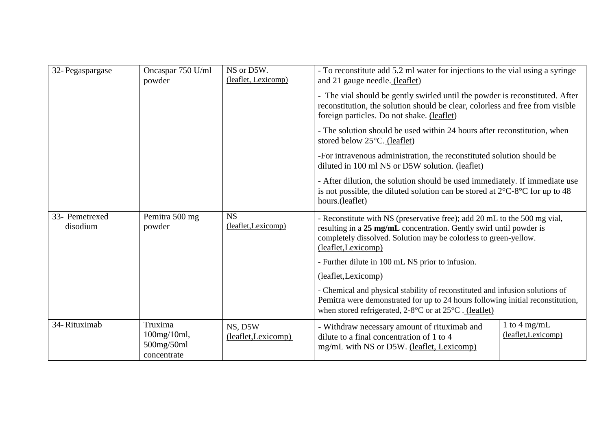| 32- Pegaspargase           | Oncaspar 750 U/ml<br>powder                         | NS or D5W.<br>(leaflet, Lexicomp) | - To reconstitute add 5.2 ml water for injections to the vial using a syringe<br>and 21 gauge needle. (leaflet)                                                                                                                             |                                     |
|----------------------------|-----------------------------------------------------|-----------------------------------|---------------------------------------------------------------------------------------------------------------------------------------------------------------------------------------------------------------------------------------------|-------------------------------------|
|                            |                                                     |                                   | - The vial should be gently swirled until the powder is reconstituted. After<br>reconstitution, the solution should be clear, colorless and free from visible<br>foreign particles. Do not shake. (leaflet)                                 |                                     |
|                            |                                                     |                                   | - The solution should be used within 24 hours after reconstitution, when<br>stored below $25^{\circ}$ C. (leaflet)                                                                                                                          |                                     |
|                            |                                                     |                                   | -For intravenous administration, the reconstituted solution should be<br>diluted in 100 ml NS or D5W solution. (leaflet)                                                                                                                    |                                     |
|                            |                                                     |                                   | - After dilution, the solution should be used immediately. If immediate use<br>is not possible, the diluted solution can be stored at $2^{\circ}$ C-8 <sup>o</sup> C for up to 48<br>hours.(leaflet)                                        |                                     |
| 33- Pemetrexed<br>disodium | Pemitra 500 mg<br>powder                            | <b>NS</b><br>(leaflet, Lexicomp)  | - Reconstitute with NS (preservative free); add 20 mL to the 500 mg vial,<br>resulting in a 25 mg/mL concentration. Gently swirl until powder is<br>completely dissolved. Solution may be colorless to green-yellow.<br>(leaflet, Lexicomp) |                                     |
|                            |                                                     |                                   | - Further dilute in 100 mL NS prior to infusion.                                                                                                                                                                                            |                                     |
|                            |                                                     |                                   | (leaflet, Lexicomp)                                                                                                                                                                                                                         |                                     |
|                            |                                                     |                                   | - Chemical and physical stability of reconstituted and infusion solutions of<br>Pemitra were demonstrated for up to 24 hours following initial reconstitution,<br>when stored refrigerated, 2-8°C or at 25°C . (leaflet)                    |                                     |
| 34-Rituximab               | Truxima<br>100mg/10ml,<br>500mg/50ml<br>concentrate | NS, D5W<br>(leaflet, Lexicomp)    | - Withdraw necessary amount of rituximab and<br>dilute to a final concentration of 1 to 4<br>mg/mL with NS or D5W. (leaflet, Lexicomp)                                                                                                      | 1 to 4 mg/mL<br>(leaflet, Lexicomp) |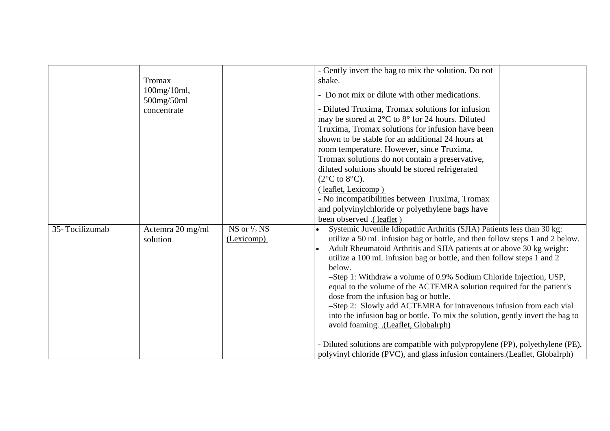|                |                                            |                                                                                                                                                                             | - Gently invert the bag to mix the solution. Do not                              |
|----------------|--------------------------------------------|-----------------------------------------------------------------------------------------------------------------------------------------------------------------------------|----------------------------------------------------------------------------------|
|                | Tromax<br>$100$ mg/ $10$ ml,<br>500mg/50ml |                                                                                                                                                                             | shake.                                                                           |
|                |                                            |                                                                                                                                                                             | - Do not mix or dilute with other medications.                                   |
| concentrate    |                                            | - Diluted Truxima, Tromax solutions for infusion<br>may be stored at $2^{\circ}$ C to $8^{\circ}$ for 24 hours. Diluted<br>Truxima, Tromax solutions for infusion have been |                                                                                  |
|                |                                            |                                                                                                                                                                             | shown to be stable for an additional 24 hours at                                 |
|                |                                            |                                                                                                                                                                             | room temperature. However, since Truxima,                                        |
|                |                                            |                                                                                                                                                                             | Tromax solutions do not contain a preservative,                                  |
|                |                                            |                                                                                                                                                                             | diluted solutions should be stored refrigerated                                  |
|                |                                            | $(2^{\circ}C \text{ to } 8^{\circ}C).$                                                                                                                                      |                                                                                  |
|                |                                            |                                                                                                                                                                             | (leaflet, Lexicomp)                                                              |
|                |                                            |                                                                                                                                                                             | - No incompatibilities between Truxima, Tromax                                   |
|                |                                            |                                                                                                                                                                             | and polyvinylchloride or polyethylene bags have                                  |
|                |                                            |                                                                                                                                                                             | been observed .(leaflet)                                                         |
| 35-Tocilizumab | Actemra 20 mg/ml                           | NS or $\frac{1}{2}$ NS                                                                                                                                                      | Systemic Juvenile Idiopathic Arthritis (SJIA) Patients less than 30 kg:          |
|                | solution                                   | (Lexicomp)                                                                                                                                                                  | utilize a 50 mL infusion bag or bottle, and then follow steps 1 and 2 below.     |
|                |                                            |                                                                                                                                                                             | Adult Rheumatoid Arthritis and SJIA patients at or above 30 kg weight:           |
|                |                                            |                                                                                                                                                                             | utilize a 100 mL infusion bag or bottle, and then follow steps 1 and 2<br>below. |
|                |                                            |                                                                                                                                                                             | -Step 1: Withdraw a volume of 0.9% Sodium Chloride Injection, USP,               |
|                |                                            |                                                                                                                                                                             | equal to the volume of the ACTEMRA solution required for the patient's           |
|                |                                            |                                                                                                                                                                             | dose from the infusion bag or bottle.                                            |
|                |                                            |                                                                                                                                                                             | -Step 2: Slowly add ACTEMRA for intravenous infusion from each vial              |
|                |                                            |                                                                                                                                                                             | into the infusion bag or bottle. To mix the solution, gently invert the bag to   |
|                |                                            |                                                                                                                                                                             | avoid foaming. .(Leaflet, Globalrph)                                             |
|                |                                            |                                                                                                                                                                             | - Diluted solutions are compatible with polypropylene (PP), polyethylene (PE),   |
|                |                                            |                                                                                                                                                                             | polyvinyl chloride (PVC), and glass infusion containers.(Leaflet, Globalrph)     |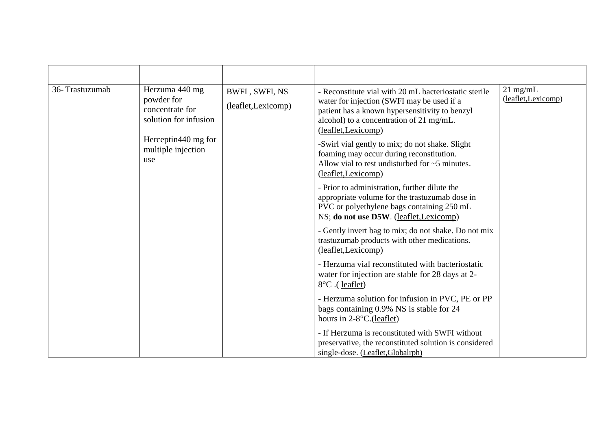| 36-Trastuzumab | Herzuma 440 mg<br>powder for<br>concentrate for<br>solution for infusion<br>Herceptin440 mg for<br>multiple injection<br>use | BWFI, SWFI, NS<br>(leaflet, Lexicomp) | - Reconstitute vial with 20 mL bacteriostatic sterile<br>water for injection (SWFI may be used if a<br>patient has a known hypersensitivity to benzyl<br>alcohol) to a concentration of 21 mg/mL.<br>(leaflet, Lexicomp)<br>-Swirl vial gently to mix; do not shake. Slight<br>foaming may occur during reconstitution.<br>Allow vial to rest undisturbed for $\sim$ 5 minutes.<br>(leaflet, Lexicomp)<br>- Prior to administration, further dilute the<br>appropriate volume for the trastuzumab dose in<br>PVC or polyethylene bags containing 250 mL<br>NS; do not use D5W. (leaflet, Lexicomp)<br>- Gently invert bag to mix; do not shake. Do not mix<br>trastuzumab products with other medications. | $21$ mg/mL<br>(leaflet, Lexicomp) |
|----------------|------------------------------------------------------------------------------------------------------------------------------|---------------------------------------|------------------------------------------------------------------------------------------------------------------------------------------------------------------------------------------------------------------------------------------------------------------------------------------------------------------------------------------------------------------------------------------------------------------------------------------------------------------------------------------------------------------------------------------------------------------------------------------------------------------------------------------------------------------------------------------------------------|-----------------------------------|
|                |                                                                                                                              |                                       | (leaflet, Lexicomp)<br>- Herzuma vial reconstituted with bacteriostatic<br>water for injection are stable for 28 days at 2-<br>8°C. (leaflet)<br>- Herzuma solution for infusion in PVC, PE or PP                                                                                                                                                                                                                                                                                                                                                                                                                                                                                                          |                                   |
|                |                                                                                                                              |                                       | bags containing 0.9% NS is stable for 24<br>hours in $2-8$ °C.(leaflet)                                                                                                                                                                                                                                                                                                                                                                                                                                                                                                                                                                                                                                    |                                   |
|                |                                                                                                                              |                                       | - If Herzuma is reconstituted with SWFI without<br>preservative, the reconstituted solution is considered<br>single-dose. (Leaflet, Globalrph)                                                                                                                                                                                                                                                                                                                                                                                                                                                                                                                                                             |                                   |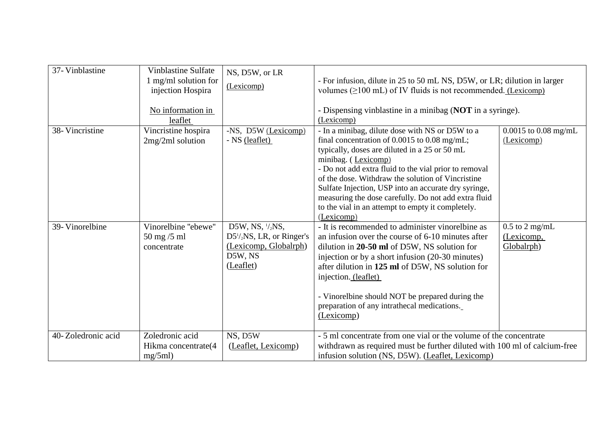| 37- Vinblastine    | <b>Vinblastine Sulfate</b><br>1 mg/ml solution for<br>injection Hospira<br>No information in<br>leaflet | NS, D5W, or LR<br>(Lexicomp)                                                                    | - For infusion, dilute in 25 to 50 mL NS, D5W, or LR; dilution in larger<br>volumes $(\geq 100 \text{ mL})$ of IV fluids is not recommended. (Lexicomp)<br>- Dispensing vinblastine in a minibag (NOT in a syringe).<br>(Lexicomp)                                                                                                                                                                                                                                           |                                                |
|--------------------|---------------------------------------------------------------------------------------------------------|-------------------------------------------------------------------------------------------------|------------------------------------------------------------------------------------------------------------------------------------------------------------------------------------------------------------------------------------------------------------------------------------------------------------------------------------------------------------------------------------------------------------------------------------------------------------------------------|------------------------------------------------|
| 38- Vincristine    | Vincristine hospira<br>$2mg/2ml$ solution                                                               | -NS, D5W (Lexicomp)<br>- NS (leaflet)                                                           | - In a minibag, dilute dose with NS or D5W to a<br>final concentration of $0.0015$ to $0.08$ mg/mL;<br>typically, doses are diluted in a 25 or 50 mL<br>minibag. (Lexicomp)<br>- Do not add extra fluid to the vial prior to removal<br>of the dose. Withdraw the solution of Vincristine<br>Sulfate Injection, USP into an accurate dry syringe,<br>measuring the dose carefully. Do not add extra fluid<br>to the vial in an attempt to empty it completely.<br>(Lexicomp) | $0.0015$ to $0.08$ mg/mL<br>(Lexicomp)         |
| 39- Vinorelbine    | Vinorelbine "ebewe"<br>$50$ mg $/5$ ml<br>concentrate                                                   | D5W, NS, 1/2NS,<br>$D51/2NS$ , LR, or Ringer's<br>(Lexicomp, Globalrph)<br>D5W, NS<br>(Leaflet) | - It is recommended to administer vinorelline as<br>an infusion over the course of 6-10 minutes after<br>dilution in 20-50 ml of D5W, NS solution for<br>injection or by a short infusion (20-30 minutes)<br>after dilution in 125 ml of D5W, NS solution for<br>injection. (leaflet)<br>- Vinorelbine should NOT be prepared during the<br>preparation of any intrathecal medications.<br>(Lexicomp)                                                                        | $0.5$ to $2$ mg/mL<br>(Lexicomp,<br>Globalrph) |
| 40-Zoledronic acid | Zoledronic acid<br>Hikma concentrate(4<br>mg/5ml                                                        | NS, D5W<br>(Leaflet, Lexicomp)                                                                  | - 5 ml concentrate from one vial or the volume of the concentrate<br>withdrawn as required must be further diluted with 100 ml of calcium-free<br>infusion solution (NS, D5W). (Leaflet, Lexicomp)                                                                                                                                                                                                                                                                           |                                                |